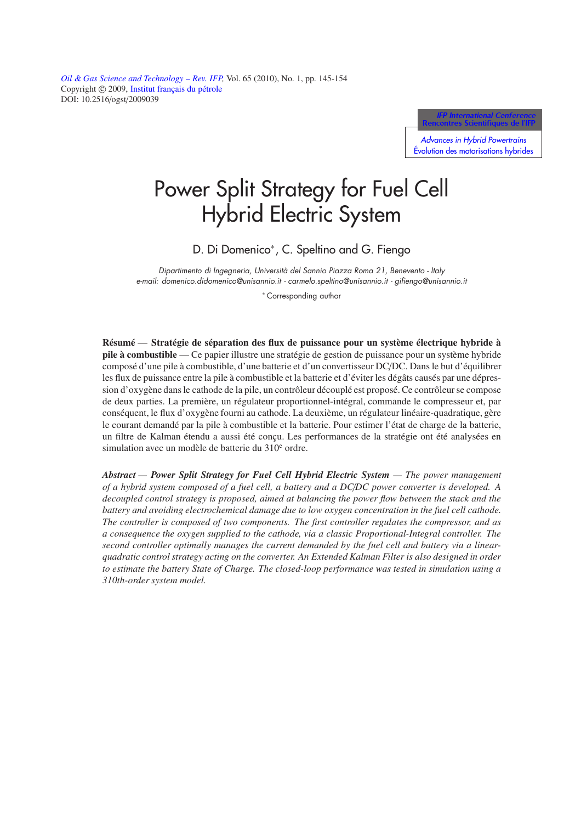*Oil* & *[Gas Science and Technology – Rev. IFP,](http://ogst.ifp.fr/)* Vol. 65 (2010), No. 1, pp. 145-154 Copyright © 2009, [Institut français du pétrole](http://www.ifp.fr/) DOI: 10.2516/ogst/2009039

> [Advances in Hybrid Powertrains](http://ogst.ifp.fr/index.php?option=toc&url=/articles/ogst/abs/2010/01/contents/contents.html) Évolution des motorisations hybrides [Rencontres Scientifiques de l'IFP](http://ogst.ifp.fr/index.php?option=toc&url=/articles/ogst/abs/2010/01/contents/contents.html)

IFP International Conference

# Power Split Strategy for Fuel Cell Hybrid Electric System

D. Di Domenico<sup>\*</sup>, C. Speltino and G. Fiengo

*Dipartimento di Ingegneria, Università del Sannio Piazza Roma 21, Benevento - Italy e-mail: domenico.didomenico@unisannio.it - carmelo.speltino@unisannio.it - gifiengo@unisannio.it*

∗ Corresponding author

**Résumé** — **Stratégie de séparation des flux de puissance pour un système électrique hybride à pile à combustible** — Ce papier illustre une stratégie de gestion de puissance pour un système hybride composé d'une pile à combustible, d'une batterie et d'un convertisseur DC/DC. Dans le but d'équilibrer les flux de puissance entre la pile à combustible et la batterie et d'éviter les dégâts causés par une dépression d'oxygène dans le cathode de la pile, un contrôleur découplé est proposé. Ce contrôleur se compose de deux parties. La première, un régulateur proportionnel-intégral, commande le compresseur et, par conséquent, le flux d'oxygène fourni au cathode. La deuxième, un régulateur linéaire-quadratique, gère le courant demandé par la pile à combustible et la batterie. Pour estimer l'état de charge de la batterie, un filtre de Kalman étendu a aussi été conçu. Les performances de la stratégie ont été analysées en simulation avec un modèle de batterie du 310<sup>e</sup> ordre.

*Abstract — Power Split Strategy for Fuel Cell Hybrid Electric System — The power management of a hybrid system composed of a fuel cell, a battery and a DC*/*DC power converter is developed. A decoupled control strategy is proposed, aimed at balancing the power flow between the stack and the battery and avoiding electrochemical damage due to low oxygen concentration in the fuel cell cathode. The controller is composed of two components. The first controller regulates the compressor, and as a consequence the oxygen supplied to the cathode, via a classic Proportional-Integral controller. The second controller optimally manages the current demanded by the fuel cell and battery via a linearquadratic control strategy acting on the converter. An Extended Kalman Filter is also designed in order to estimate the battery State of Charge. The closed-loop performance was tested in simulation using a 310th-order system model.*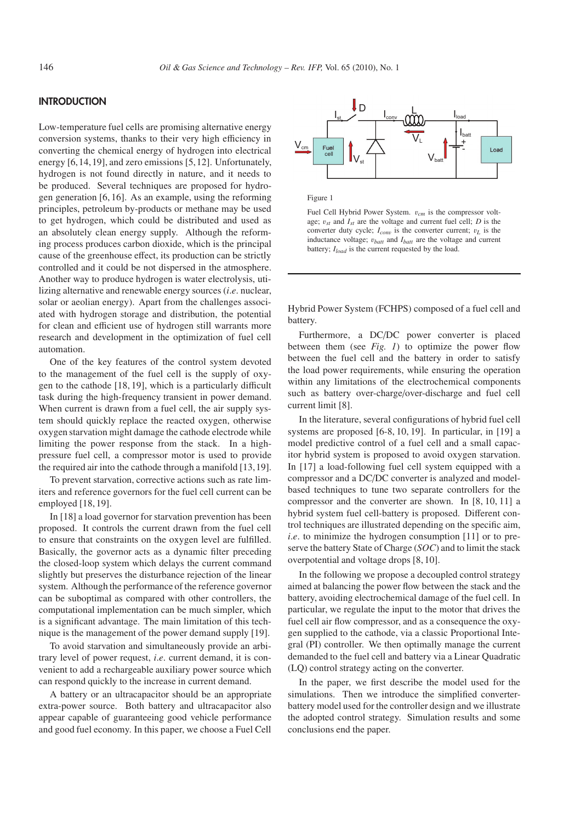# **INTRODUCTION**

Low-temperature fuel cells are promising alternative energy conversion systems, thanks to their very high efficiency in converting the chemical energy of hydrogen into electrical energy [6,14,19], and zero emissions [5,12]. Unfortunately, hydrogen is not found directly in nature, and it needs to be produced. Several techniques are proposed for hydrogen generation [6, 16]. As an example, using the reforming principles, petroleum by-products or methane may be used to get hydrogen, which could be distributed and used as an absolutely clean energy supply. Although the reforming process produces carbon dioxide, which is the principal cause of the greenhouse effect, its production can be strictly controlled and it could be not dispersed in the atmosphere. Another way to produce hydrogen is water electrolysis, utilizing alternative and renewable energy sources (*i*.*e*. nuclear, solar or aeolian energy). Apart from the challenges associated with hydrogen storage and distribution, the potential for clean and efficient use of hydrogen still warrants more research and development in the optimization of fuel cell automation.

One of the key features of the control system devoted to the management of the fuel cell is the supply of oxygen to the cathode [18, 19], which is a particularly difficult task during the high-frequency transient in power demand. When current is drawn from a fuel cell, the air supply system should quickly replace the reacted oxygen, otherwise oxygen starvation might damage the cathode electrode while limiting the power response from the stack. In a highpressure fuel cell, a compressor motor is used to provide the required air into the cathode through a manifold [13,19].

To prevent starvation, corrective actions such as rate limiters and reference governors for the fuel cell current can be employed [18, 19].

In [18] a load governor for starvation prevention has been proposed. It controls the current drawn from the fuel cell to ensure that constraints on the oxygen level are fulfilled. Basically, the governor acts as a dynamic filter preceding the closed-loop system which delays the current command slightly but preserves the disturbance rejection of the linear system. Although the performance of the reference governor can be suboptimal as compared with other controllers, the computational implementation can be much simpler, which is a significant advantage. The main limitation of this technique is the management of the power demand supply [19].

To avoid starvation and simultaneously provide an arbitrary level of power request, *<sup>i</sup>*.*e*. current demand, it is convenient to add a rechargeable auxiliary power source which can respond quickly to the increase in current demand.

A battery or an ultracapacitor should be an appropriate extra-power source. Both battery and ultracapacitor also appear capable of guaranteeing good vehicle performance and good fuel economy. In this paper, we choose a Fuel Cell



Figure 1



Hybrid Power System (FCHPS) composed of a fuel cell and battery.

Furthermore, a DC/DC power converter is placed between them (see *Fig. 1*) to optimize the power flow between the fuel cell and the battery in order to satisfy the load power requirements, while ensuring the operation within any limitations of the electrochemical components such as battery over-charge/over-discharge and fuel cell current limit [8].

In the literature, several configurations of hybrid fuel cell systems are proposed [6-8, 10, 19]. In particular, in [19] a model predictive control of a fuel cell and a small capacitor hybrid system is proposed to avoid oxygen starvation. In [17] a load-following fuel cell system equipped with a compressor and a DC/DC converter is analyzed and modelbased techniques to tune two separate controllers for the compressor and the converter are shown. In [8, 10, 11] a hybrid system fuel cell-battery is proposed. Different control techniques are illustrated depending on the specific aim, *i.e.* to minimize the hydrogen consumption [11] or to preserve the battery State of Charge (*SOC*) and to limit the stack overpotential and voltage drops [8, 10].

In the following we propose a decoupled control strategy aimed at balancing the power flow between the stack and the battery, avoiding electrochemical damage of the fuel cell. In particular, we regulate the input to the motor that drives the fuel cell air flow compressor, and as a consequence the oxygen supplied to the cathode, via a classic Proportional Integral (PI) controller. We then optimally manage the current demanded to the fuel cell and battery via a Linear Quadratic (LQ) control strategy acting on the converter.

In the paper, we first describe the model used for the simulations. Then we introduce the simplified converterbattery model used for the controller design and we illustrate the adopted control strategy. Simulation results and some conclusions end the paper.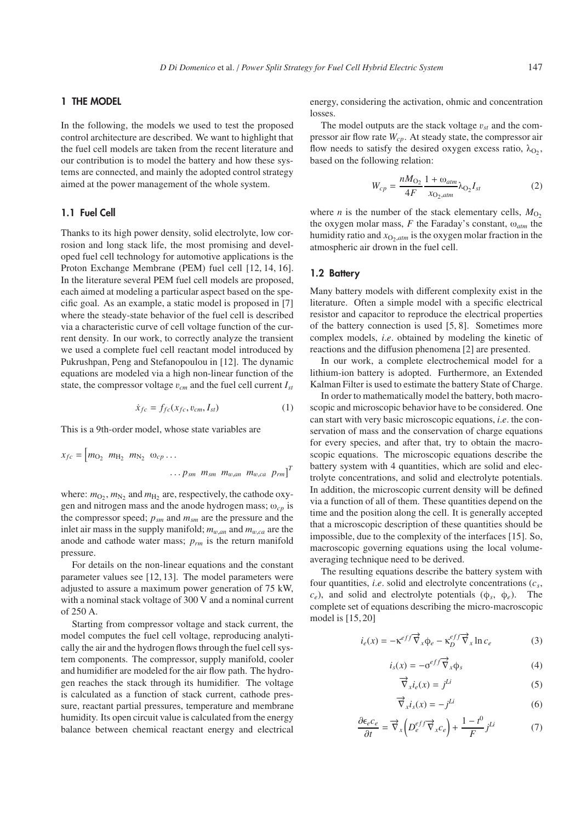# **1 THE MODEL**

In the following, the models we used to test the proposed control architecture are described. We want to highlight that the fuel cell models are taken from the recent literature and our contribution is to model the battery and how these systems are connected, and mainly the adopted control strategy aimed at the power management of the whole system.

## **1.1 Fuel Cell**

Thanks to its high power density, solid electrolyte, low corrosion and long stack life, the most promising and developed fuel cell technology for automotive applications is the Proton Exchange Membrane (PEM) fuel cell [12, 14, 16]. In the literature several PEM fuel cell models are proposed, each aimed at modeling a particular aspect based on the specific goal. As an example, a static model is proposed in [7] where the steady-state behavior of the fuel cell is described via a characteristic curve of cell voltage function of the current density. In our work, to correctly analyze the transient we used a complete fuel cell reactant model introduced by Pukrushpan, Peng and Stefanopoulou in [12]. The dynamic equations are modeled via a high non-linear function of the state, the compressor voltage <sup>v</sup>*cm* and the fuel cell current *Ist*

$$
\dot{x}_{fc} = f_{fc}(x_{fc}, v_{cm}, I_{st})
$$
 (1)

This is a 9th-order model, whose state variables are

$$
x_{fc} = \begin{bmatrix} m_{O_2} & m_{H_2} & m_{N_2} & \omega_{cp} & \dots & \\ & & \dots & p_{sm} & m_{sm} & m_{w,an} & m_{w,ca} & p_{rm} \end{bmatrix}^T
$$

where:  $m_{\text{O}_2}$ ,  $m_{\text{N}_2}$  and  $m_{\text{H}_2}$  are, respectively, the cathode oxygen and nitrogen mass and the anode hydrogen mass; ω*cp* is the compressor speed; *psm* and *msm* are the pressure and the inlet air mass in the supply manifold;  $m_{w,an}$  and  $m_{w,ca}$  are the anode and cathode water mass; *prm* is the return manifold pressure.

For details on the non-linear equations and the constant parameter values see [12, 13]. The model parameters were adjusted to assure a maximum power generation of 75 kW, with a nominal stack voltage of 300 V and a nominal current of 250 A.

Starting from compressor voltage and stack current, the model computes the fuel cell voltage, reproducing analytically the air and the hydrogen flows through the fuel cell system components. The compressor, supply manifold, cooler and humidifier are modeled for the air flow path. The hydrogen reaches the stack through its humidifier. The voltage is calculated as a function of stack current, cathode pressure, reactant partial pressures, temperature and membrane humidity. Its open circuit value is calculated from the energy balance between chemical reactant energy and electrical energy, considering the activation, ohmic and concentration losses.

The model outputs are the stack voltage  $v_{st}$  and the compressor air flow rate *Wcp*. At steady state, the compressor air flow needs to satisfy the desired oxygen excess ratio,  $\lambda_{\text{O}_2}$ , based on the following relation:

$$
W_{cp} = \frac{nM_{\text{O}_2}}{4F} \frac{1 + \omega_{atm}}{x_{\text{O}_2,atm}} \lambda_{\text{O}_2} I_{st}
$$
 (2)

where *n* is the number of the stack elementary cells,  $M_{\text{O}_2}$ the oxygen molar mass, *F* the Faraday's constant, ω*atm* the humidity ratio and  $x_{O_2,atm}$  is the oxygen molar fraction in the atmospheric air drown in the fuel cell.

## **1.2 Battery**

Many battery models with different complexity exist in the literature. Often a simple model with a specific electrical resistor and capacitor to reproduce the electrical properties of the battery connection is used [5, 8]. Sometimes more complex models, *<sup>i</sup>*.*e*. obtained by modeling the kinetic of reactions and the diffusion phenomena [2] are presented.

In our work, a complete electrochemical model for a lithium-ion battery is adopted. Furthermore, an Extended Kalman Filter is used to estimate the battery State of Charge.

In order to mathematically model the battery, both macroscopic and microscopic behavior have to be considered. One can start with very basic microscopic equations, *<sup>i</sup>*.*e*. the conservation of mass and the conservation of charge equations for every species, and after that, try to obtain the macroscopic equations. The microscopic equations describe the battery system with 4 quantities, which are solid and electrolyte concentrations, and solid and electrolyte potentials. In addition, the microscopic current density will be defined via a function of all of them. These quantities depend on the time and the position along the cell. It is generally accepted that a microscopic description of these quantities should be impossible, due to the complexity of the interfaces [15]. So, macroscopic governing equations using the local volumeaveraging technique need to be derived.

The resulting equations describe the battery system with four quantities, *i.e.* solid and electrolyte concentrations  $(c<sub>s</sub>,$  $c_e$ ), and solid and electrolyte potentials  $(\phi_s, \phi_e)$ . The complete set of equations describing the micro-macroscopic model is [15, 20]

$$
i_e(x) = -\kappa^{eff} \overrightarrow{\nabla}_x \phi_e - \kappa_D^{eff} \overrightarrow{\nabla}_x \ln c_e \tag{3}
$$

$$
i_s(x) = -\sigma^{eff} \vec{\nabla}_x \phi_s \tag{4}
$$

$$
\overrightarrow{\nabla}_x i_e(x) = j^{Li} \tag{5}
$$

$$
\overrightarrow{\nabla}_x i_s(x) = -j^{Li} \tag{6}
$$

$$
\frac{\partial \epsilon_e c_e}{\partial t} = \overrightarrow{\nabla}_x \left( D_e^{eff} \overrightarrow{\nabla}_x c_e \right) + \frac{1 - t^0}{F} j^{Li}
$$
(7)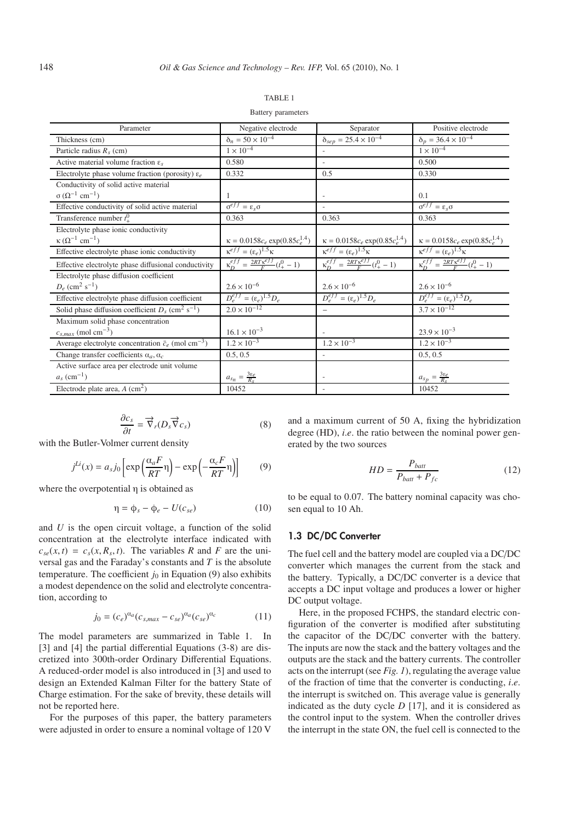| Parameter                                                                  | Negative electrode                                      | Separator                                               | Positive electrode                                      |
|----------------------------------------------------------------------------|---------------------------------------------------------|---------------------------------------------------------|---------------------------------------------------------|
| Thickness (cm)                                                             | $\delta_n = 50 \times 10^{-4}$                          | $\delta_{sep} = 25.4 \times 10^{-4}$                    | $\delta_p = 36.4 \times 10^{-4}$                        |
| Particle radius $R_s$ (cm)                                                 | $1 \times 10^{-4}$                                      | $\overline{\phantom{a}}$                                | $1 \times 10^{-4}$                                      |
| Active material volume fraction $\varepsilon_s$                            | 0.580                                                   | $\overline{\phantom{a}}$                                | 0.500                                                   |
| Electrolyte phase volume fraction (porosity) $\varepsilon_e$               | 0.332                                                   | 0.5                                                     | 0.330                                                   |
| Conductivity of solid active material                                      |                                                         |                                                         |                                                         |
| $\sigma$ ( $\Omega^{-1}$ cm <sup>-1</sup> )                                | 1                                                       | $\overline{\phantom{a}}$                                | 0.1                                                     |
| Effective conductivity of solid active material                            | $\sigma^{eff} = \varepsilon_s \sigma$                   | $\sim$                                                  | $\sigma^{eff} = \varepsilon_s \sigma$                   |
| Transference number $t_{+}^{0}$                                            | 0.363                                                   | 0.363                                                   | 0.363                                                   |
| Electrolyte phase ionic conductivity                                       |                                                         |                                                         |                                                         |
| $\kappa (\Omega^{-1}$ cm <sup>-1</sup> )                                   | $\kappa = 0.0158c_e \exp(0.85c_e^{1.4})$                | $\kappa = 0.0158c_e \exp(0.85c_e^{1.4})$                | $\kappa = 0.0158c_e \exp(0.85c_e^{1.4})$                |
| Effective electrolyte phase ionic conductivity                             | $\kappa^{eff} = (\varepsilon_e)^{1.5} \kappa$           | $\kappa^{eff} = (\varepsilon_e)^{1.5} \kappa$           | $\kappa^{eff} = (\varepsilon_e)^{1.5} \kappa$           |
| Effective electrolyte phase diffusional conductivity                       | $\kappa_D^{eff} = \frac{2RT\kappa^{eff}}{F}(t_+^0 - 1)$ | $\kappa_D^{eff} = \frac{2RT\kappa^{eff}}{F}(t_+^0 - 1)$ | $\kappa_D^{eff} = \frac{2RT\kappa^{eff}}{F}(t_+^0 - 1)$ |
| Electrolyte phase diffusion coefficient                                    |                                                         |                                                         |                                                         |
| $D_e$ (cm <sup>2</sup> s <sup>-1</sup> )                                   | $2.6\times10^{-6}$                                      | $2.6 \times 10^{-6}$                                    | $2.6 \times 10^{-6}$                                    |
| Effective electrolyte phase diffusion coefficient                          | $D_e^{eff} = (\varepsilon_e)^{1.5} D_e$                 | $D_e^{eff} = (\varepsilon_e)^{1.5} D_e$                 | $D_e^{eff} = (\varepsilon_e)^{1.5} D_e$                 |
| Solid phase diffusion coefficient $D_s$ (cm <sup>2</sup> s <sup>-1</sup> ) | $2.0 \times 10^{-12}$                                   |                                                         | $3.7 \times 10^{-12}$                                   |
| Maximum solid phase concentration                                          |                                                         |                                                         |                                                         |
| $c_{s,max}$ (mol cm <sup>-3</sup> )                                        | $16.1 \times 10^{-3}$                                   |                                                         | $23.9 \times 10^{-3}$                                   |
| Average electrolyte concentration $\bar{c}_e$ (mol cm <sup>-3</sup> )      | $1.2 \times 10^{-3}$                                    | $1.2 \times 10^{-3}$                                    | $1.2 \times 10^{-3}$                                    |
| Change transfer coefficients $\alpha_a, \alpha_c$                          | 0.5, 0.5                                                | $\overline{\phantom{a}}$                                | 0.5, 0.5                                                |
| Active surface area per electrode unit volume                              |                                                         |                                                         |                                                         |
| $a_s$ (cm <sup>-1</sup> )                                                  | $a_{sn} = \frac{3\varepsilon_e}{R_s}$                   | $\overline{\phantom{a}}$                                | $a_{sp} = \frac{3\varepsilon_e}{R_s}$                   |
| Electrode plate area, $A$ (cm <sup>2</sup> )                               | 10452                                                   | $\overline{a}$                                          | 10452                                                   |

TABLE 1

Battery parameters

$$
\frac{\partial c_s}{\partial t} = \overrightarrow{\nabla}_r (D_s \overrightarrow{\nabla}_c) \tag{8}
$$

 $\frac{\partial c_s}{\partial t} = \vec{\nabla}_r(D_s \vec{\nabla} c_s)$ <br>with the Butler-Volmer current density

$$
j^{Li}(x) = a_s j_0 \left[ \exp\left(\frac{\alpha_a F}{RT}\eta\right) - \exp\left(-\frac{\alpha_c F}{RT}\eta\right) \right] \tag{9}
$$

where the overpotential η is obtained as

$$
\eta = \phi_s - \phi_e - U(c_{se}) \tag{10}
$$

and *U* is the open circuit voltage, a function of the solid concentration at the electrolyte interface indicated with  $c_{se}(x, t) = c_s(x, R_s, t)$ . The variables *R* and *F* are the universal gas and the Faraday's constants and *T* is the absolute temperature. The coefficient  $j_0$  in Equation (9) also exhibits a modest dependence on the solid and electrolyte concentration, according to

$$
j_0 = (c_e)^{\alpha_a} (c_{s,max} - c_{se})^{\alpha_a} (c_{se})^{\alpha_c}
$$
 (11)

The model parameters are summarized in Table 1. In [3] and [4] the partial differential Equations (3-8) are discretized into 300th-order Ordinary Differential Equations. A reduced-order model is also introduced in [3] and used to design an Extended Kalman Filter for the battery State of Charge estimation. For the sake of brevity, these details will not be reported here.

For the purposes of this paper, the battery parameters were adjusted in order to ensure a nominal voltage of 120 V

and a maximum current of 50 A, fixing the hybridization degree (HD), *<sup>i</sup>*.*e*. the ratio between the nominal power generated by the two sources

$$
HD = \frac{P_{batt}}{P_{batt} + P_{fc}}\tag{12}
$$

to be equal to 0.07. The battery nominal capacity was chosen equal to 10 Ah.

## **1.3 DC/DC Converter**

The fuel cell and the battery model are coupled via a DC/DC converter which manages the current from the stack and the battery. Typically, a DC/DC converter is a device that accepts a DC input voltage and produces a lower or higher DC output voltage.

Here, in the proposed FCHPS, the standard electric configuration of the converter is modified after substituting the capacitor of the DC/DC converter with the battery. The inputs are now the stack and the battery voltages and the outputs are the stack and the battery currents. The controller acts on the interrupt (see *Fig. 1*), regulating the average value of the fraction of time that the converter is conducting, *<sup>i</sup>*.*e*. the interrupt is switched on. This average value is generally indicated as the duty cycle *D* [17], and it is considered as the control input to the system. When the controller drives the interrupt in the state ON, the fuel cell is connected to the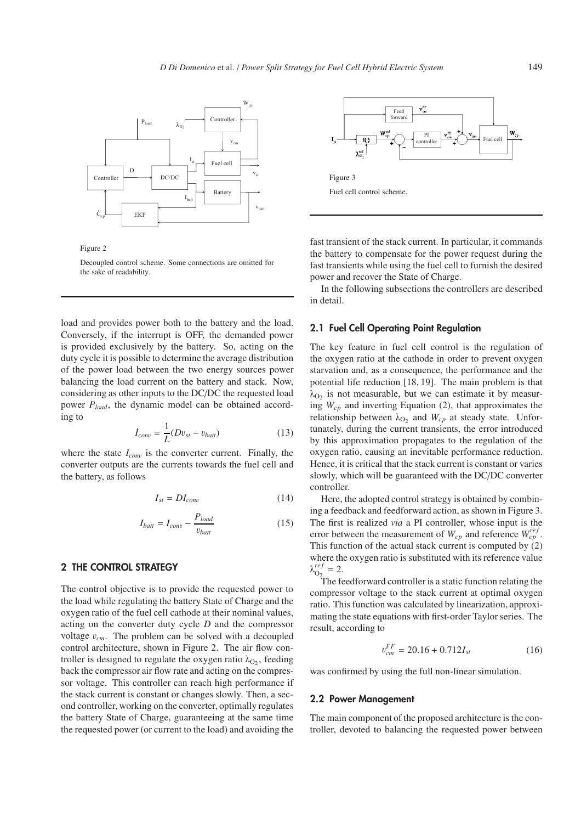

Figure 2

Decoupled control scheme. Some connections are omitted for the sake of readability.

load and provides power both to the battery and the load. Conversely, if the interrupt is OFF, the demanded power is provided exclusively by the battery. So, acting on the duty cycle it is possible to determine the average distribution of the power load between the two energy sources power balancing the load current on the battery and stack. Now, considering as other inputs to the DC/DC the requested load power *Pload*, the dynamic model can be obtained according to

$$
\dot{I}_{conv} = \frac{1}{L}(Dv_{st} - v_{batt})
$$
\n(13)

where the state  $I_{conv}$  is the converter current. Finally, the converter outputs are the currents towards the fuel cell and the battery, as follows

$$
I_{st} = DI_{conv} \tag{14}
$$

$$
I_{batt} = I_{conv} - \frac{P_{load}}{v_{batt}} \tag{15}
$$

## **2 THE CONTROL STRATEGY**

The control objective is to provide the requested power to the load while regulating the battery State of Charge and the oxygen ratio of the fuel cell cathode at their nominal values, acting on the converter duty cycle *D* and the compressor voltage <sup>v</sup>*cm*. The problem can be solved with a decoupled control architecture, shown in Figure 2. The air flow controller is designed to regulate the oxygen ratio  $\lambda_{\Omega_2}$ , feeding back the compressor air flow rate and acting on the compressor voltage. This controller can reach high performance if the stack current is constant or changes slowly. Then, a second controller, working on the converter, optimally regulates the battery State of Charge, guaranteeing at the same time the requested power (or current to the load) and avoiding the



fast transient of the stack current. In particular, it commands the battery to compensate for the power request during the fast transients while using the fuel cell to furnish the desired power and recover the State of Charge.

In the following subsections the controllers are described in detail.

## **2.1 Fuel Cell Operating Point Regulation**

The key feature in fuel cell control is the regulation of the oxygen ratio at the cathode in order to prevent oxygen starvation and, as a consequence, the performance and the potential life reduction [18, 19]. The main problem is that  $\lambda_{\text{O}_2}$  is not measurable, but we can estimate it by measuring *Wcp* and inverting Equation (2), that approximates the relationship between  $\lambda_{\text{O}_2}$  and  $W_{cp}$  at steady state. Unfortunately, during the current transients, the error introduced by this approximation propagates to the regulation of the oxygen ratio, causing an inevitable performance reduction. Hence, it is critical that the stack current is constant or varies slowly, which will be guaranteed with the DC/DC converter controller.

Here, the adopted control strategy is obtained by combining a feedback and feedforward action, as shown in Figure 3. The first is realized *via* a PI controller, whose input is the error between the measurement of  $W_{cp}$  and reference  $W_{cp}^{ref}$ . This function of the actual stack current is computed by (2) where the oxygen ratio is substituted with its reference value  $\lambda_{\text{O}_2}^{ref} = 2.$ 

The feedforward controller is a static function relating the compressor voltage to the stack current at optimal oxygen ratio. This function was calculated by linearization, approximating the state equations with first-order Taylor series. The result, according to

$$
v_{cm}^{FF} = 20.16 + 0.712I_{st}
$$
 (16)

was confirmed by using the full non-linear simulation.

## **2.2 Power Management**

The main component of the proposed architecture is the controller, devoted to balancing the requested power between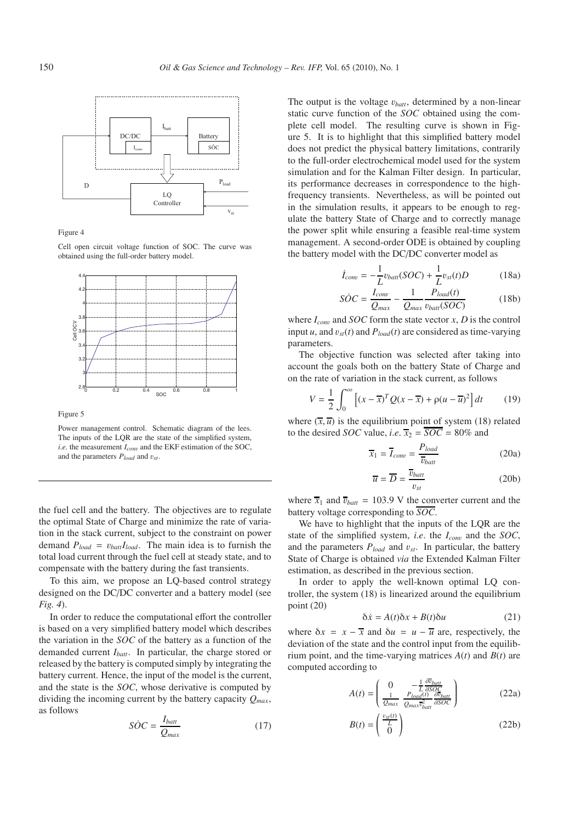

Figure 4





Figure 5

Power management control. Schematic diagram of the lees. The inputs of the LQR are the state of the simplified system, *i.e.* the measurement *I<sub>conv</sub>* and the EKF estimation of the SOC, and the parameters *Pload* and <sup>v</sup>*st*.

the fuel cell and the battery. The objectives are to regulate the optimal State of Charge and minimize the rate of variation in the stack current, subject to the constraint on power demand  $P_{load} = v_{batt}I_{load}$ . The main idea is to furnish the total load current through the fuel cell at steady state, and to compensate with the battery during the fast transients.

To this aim, we propose an LQ-based control strategy designed on the DC/DC converter and a battery model (see *Fig. 4*).

In order to reduce the computational effort the controller is based on a very simplified battery model which describes the variation in the *SOC* of the battery as a function of the demanded current *Ibatt*. In particular, the charge stored or released by the battery is computed simply by integrating the battery current. Hence, the input of the model is the current, and the state is the *SOC*, whose derivative is computed by dividing the incoming current by the battery capacity *Qmax*, as follows

$$
\dot{SOC} = \frac{I_{batt}}{Q_{max}}\tag{17}
$$

The output is the voltage  $v_{batt}$ , determined by a non-linear static curve function of the *SOC* obtained using the complete cell model. The resulting curve is shown in Figure 5. It is to highlight that this simplified battery model does not predict the physical battery limitations, contrarily to the full-order electrochemical model used for the system simulation and for the Kalman Filter design. In particular, its performance decreases in correspondence to the highfrequency transients. Nevertheless, as will be pointed out in the simulation results, it appears to be enough to regulate the battery State of Charge and to correctly manage the power split while ensuring a feasible real-time system management. A second-order ODE is obtained by coupling the battery model with the DC/DC converter model as

$$
\dot{I}_{conv} = -\frac{1}{L}v_{batt}(SOC) + \frac{1}{L}v_{st}(t)D\tag{18a}
$$

$$
SOC = \frac{I_{conv}}{Q_{max}} - \frac{1}{Q_{max}} \frac{P_{load}(t)}{v_{batt}(SOC)}
$$
(18b)

where  $I_{conv}$  and *SOC* form the state vector *x*, *D* is the control input  $u$ , and  $v_{st}(t)$  and  $P_{load}(t)$  are considered as time-varying parameters.

The objective function was selected after taking into account the goals both on the battery State of Charge and on the rate of variation in the stack current, as follows

$$
V = \frac{1}{2} \int_0^{\infty} \left[ (x - \overline{x})^T Q(x - \overline{x}) + \rho (u - \overline{u})^2 \right] dt \qquad (19)
$$

where  $(\overline{x}, \overline{u})$  is the equilibrium point of system (18) related to the desired *SOC* value, *i.e.*  $\overline{x_2} = \overline{SOC} = 80\%$  and

$$
\overline{x}_1 = \overline{I}_{conv} = \frac{P_{load}}{\overline{v}_{batt}}
$$
 (20a)

$$
\overline{u} = \overline{D} = \frac{\overline{v}_{batt}}{v_{st}}
$$
(20b)

where  $\overline{x}_1$  and  $\overline{v}_{batt} = 103.9$  V the converter current and the battery voltage corresponding to  $\overline{SOC}$ battery voltage corresponding to *SOC*.

We have to highlight that the inputs of the LQR are the state of the simplified system, *<sup>i</sup>*.*e*. the *Icon*v and the *SOC*, and the parameters  $P_{load}$  and  $v_{st}$ . In particular, the battery State of Charge is obtained *via* the Extended Kalman Filter estimation, as described in the previous section.

In order to apply the well-known optimal LQ controller, the system (18) is linearized around the equilibrium point (20)

$$
\delta \dot{x} = A(t)\delta x + B(t)\delta u \tag{21}
$$

where  $\delta x = x - \overline{x}$  and  $\delta u = u - \overline{u}$  are, respectively, the deviation of the state and the control input from the equilibrium point, and the time-varying matrices  $A(t)$  and  $B(t)$  are computed according to

$$
A(t) = \begin{pmatrix} 0 & -\frac{1}{L} \frac{\partial \bar{v}_{batt}}{\partial SOC} \\ \frac{1}{Q_{max}} & \frac{P_{load}(t)}{Q_{max} \bar{v}_{batt}^2} \frac{\partial \bar{v}_{batt}}{\partial SOC} \end{pmatrix}
$$
(22a)

$$
B(t) = \begin{pmatrix} \frac{v_{st}(t)}{L} \\ 0 \end{pmatrix}
$$
 (22b)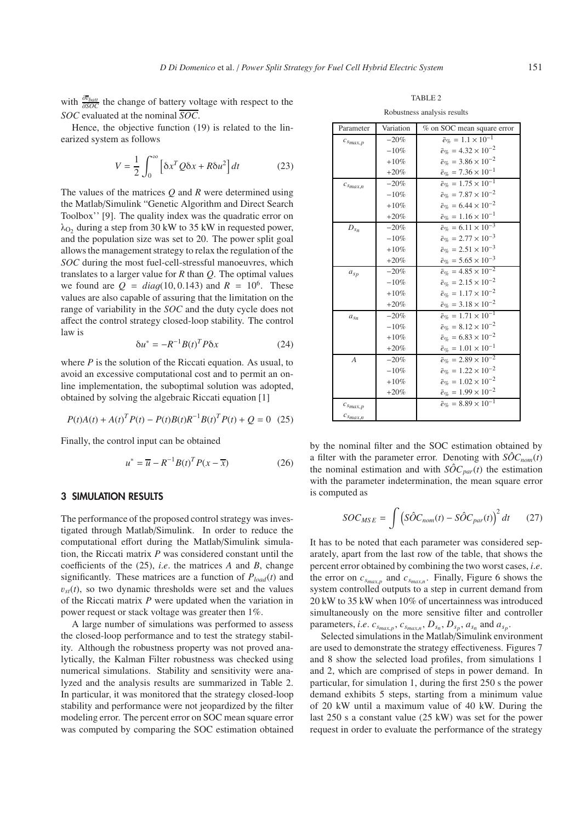Hence, the objective function (19) is related to the linearized system as follows

$$
V = \frac{1}{2} \int_0^{\infty} \left[ \delta x^T Q \delta x + R \delta u^2 \right] dt
$$
 (23)

The values of the matrices *Q* and *R* were determined using the Matlab/Simulink "Genetic Algorithm and Direct Search Toolbox'' [9]. The quality index was the quadratic error on  $\lambda_{\text{O}_2}$  during a step from 30 kW to 35 kW in requested power, and the population size was set to 20. The power split goal allows the management strategy to relax the regulation of the *SOC* during the most fuel-cell-stressful manoeuvres, which translates to a larger value for *R* than *Q*. The optimal values we found are  $Q = diag(10, 0.143)$  and  $R = 10<sup>6</sup>$ . These values are also capable of assuring that the limitation on the range of variability in the *SOC* and the duty cycle does not affect the control strategy closed-loop stability. The control law is

$$
\delta u^* = -R^{-1}B(t)^T P \delta x \tag{24}
$$

where *P* is the solution of the Riccati equation. As usual, to avoid an excessive computational cost and to permit an online implementation, the suboptimal solution was adopted, obtained by solving the algebraic Riccati equation [1]

$$
P(t)A(t) + A(t)^{T}P(t) - P(t)B(t)R^{-1}B(t)^{T}P(t) + Q = 0
$$
 (25)

Finally, the control input can be obtained

$$
u^* = \overline{u} - R^{-1}B(t)^T P(x - \overline{x})
$$
 (26)

## **3 SIMULATION RESULTS**

The performance of the proposed control strategy was investigated through Matlab/Simulink. In order to reduce the computational effort during the Matlab/Simulink simulation, the Riccati matrix *P* was considered constant until the coefficients of the (25), *<sup>i</sup>*.*e*. the matrices *<sup>A</sup>* and *<sup>B</sup>*, change significantly. These matrices are a function of  $P_{load}(t)$  and  $v_{st}(t)$ , so two dynamic thresholds were set and the values of the Riccati matrix *P* were updated when the variation in power request or stack voltage was greater then 1%.

A large number of simulations was performed to assess the closed-loop performance and to test the strategy stability. Although the robustness property was not proved analytically, the Kalman Filter robustness was checked using numerical simulations. Stability and sensitivity were analyzed and the analysis results are summarized in Table 2. In particular, it was monitored that the strategy closed-loop stability and performance were not jeopardized by the filter modeling error. The percent error on SOC mean square error was computed by comparing the SOC estimation obtained

TABLE 2

| Parameter                 | Variation | % on SOC mean square error                     |
|---------------------------|-----------|------------------------------------------------|
| $c_{s_{max,p}}$           | $-20%$    | $\bar{e}_{\%} = 1.1 \times \overline{10^{-1}}$ |
|                           | $-10%$    | $\bar{e}_{\%} = 4.32 \times 10^{-2}$           |
|                           | $+10%$    | $\bar{e}_{\%} = 3.86 \times 10^{-2}$           |
|                           | $+20%$    | $\bar{e}_{\%} = 7.36 \times 10^{-1}$           |
| $c_{s_{max,n}}$           | $-20%$    | $\bar{e}_{\%} = 1.75 \times 10^{-1}$           |
|                           | $-10%$    | $\bar{e}_{\%} = 7.87 \times 10^{-2}$           |
|                           | $+10%$    | $\bar{e}_{\%} = 6.44 \times 10^{-2}$           |
|                           | $+20%$    | $\bar{e}_{\%} = 1.16 \times 10^{-1}$           |
| $D_{s_n}$                 | $-20%$    | $\bar{e}_{\%} = 6.11 \times 10^{-3}$           |
|                           | $-10%$    | $\bar{e}_{\%} = 2.77 \times 10^{-3}$           |
|                           | $+10%$    | $\bar{e}_{\%} = 2.51 \times 10^{-3}$           |
|                           | $+20%$    | $\bar{e}_{\%} = 5.65 \times 10^{-3}$           |
| $a_{sp}$                  | $-20%$    | $\bar{e}_{\%} = 4.85 \times 10^{-2}$           |
|                           | $-10%$    | $\bar{e}_{\%} = 2.15 \times 10^{-2}$           |
|                           | $+10%$    | $\bar{e}_{\%} = 1.17 \times 10^{-2}$           |
|                           | $+20%$    | $\bar{e}_{\%} = 3.18 \times 10^{-2}$           |
| $a_{sn}$                  | $-20%$    | $\bar{e}_{\%} = 1.71 \times 10^{-1}$           |
|                           | $-10%$    | $\bar{e}_{\%} = 8.12 \times 10^{-2}$           |
|                           | $+10%$    | $\bar{e}_{\%} = 6.83 \times 10^{-2}$           |
|                           | $+20%$    | $\bar{e}_{\%} = 1.01 \times 10^{-1}$           |
| $\overline{A}$            | $-20%$    | $\bar{e}_{\%} = 2.89 \times 10^{-2}$           |
|                           | $-10%$    | $\bar{e}_{\%} = 1.22 \times 10^{-2}$           |
|                           | $+10%$    | $\bar{e}_{\%} = 1.02 \times 10^{-2}$           |
|                           | $+20%$    | $\bar{e}_{\%} = 1.99 \times 10^{-2}$           |
| $c_{smax,p}$              |           | $\bar{e}_{\%} = 8.89 \times 10^{-1}$           |
| $c_{s_{\frac{max,n}{n}}}$ |           |                                                |

by the nominal filter and the SOC estimation obtained by a filter with the parameter error. Denoting with  $\hat{SOC}_{nom}(t)$ the nominal estimation and with  $\hat{SOC}_{par}(t)$  the estimation with the parameter indetermination, the mean square error is computed as

$$
SOC_{MSE} = \int \left( S\hat{O}C_{nom}(t) - S\hat{O}C_{par}(t) \right)^2 dt \qquad (27)
$$

It has to be noted that each parameter was considered separately, apart from the last row of the table, that shows the percent error obtained by combining the two worst cases, *<sup>i</sup>*.*e*. the error on  $c_{s_{max,p}}$  and  $c_{s_{max,n}}$ . Finally, Figure 6 shows the system controlled outputs to a step in current demand from 20 kW to 35 kW when 10% of uncertainness was introduced simultaneously on the more sensitive filter and controller parameters, *i.e.*  $c_{s_{max,p}}$ ,  $c_{s_{max,n}}$ ,  $D_{s_n}$ ,  $D_{s_p}$ ,  $a_{s_n}$  and  $a_{s_p}$ .

Selected simulations in the Matlab/Simulink environment are used to demonstrate the strategy effectiveness. Figures 7 and 8 show the selected load profiles, from simulations 1 and 2, which are comprised of steps in power demand. In particular, for simulation 1, during the first 250 s the power demand exhibits 5 steps, starting from a minimum value of 20 kW until a maximum value of 40 kW. During the last 250 s a constant value (25 kW) was set for the power request in order to evaluate the performance of the strategy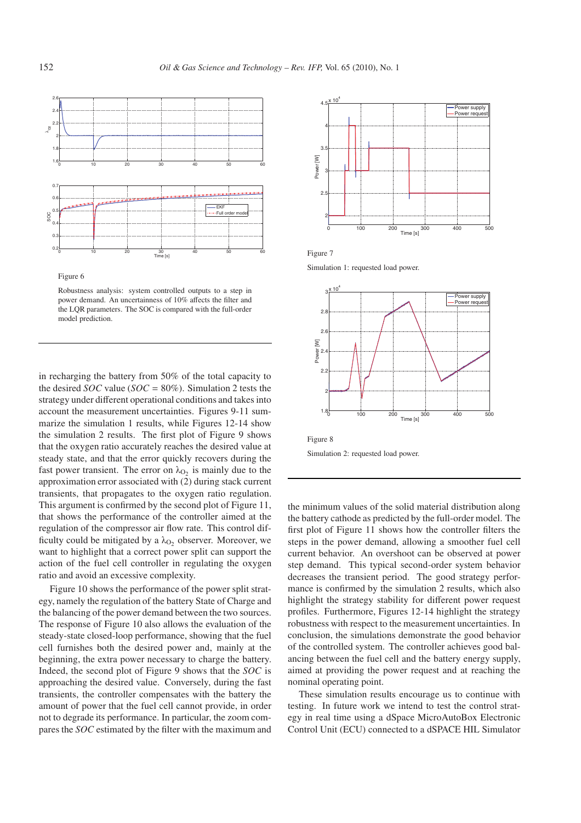

Figure 6

Robustness analysis: system controlled outputs to a step in power demand. An uncertainness of 10% affects the filter and the LQR parameters. The SOC is compared with the full-order model prediction.

in recharging the battery from 50% of the total capacity to the desired *SOC* value (*SOC* = 80%). Simulation 2 tests the strategy under different operational conditions and takes into account the measurement uncertainties. Figures 9-11 summarize the simulation 1 results, while Figures 12-14 show the simulation 2 results. The first plot of Figure 9 shows that the oxygen ratio accurately reaches the desired value at steady state, and that the error quickly recovers during the fast power transient. The error on  $\lambda_{\text{O}_2}$  is mainly due to the approximation error associated with (2) during stack current transients, that propagates to the oxygen ratio regulation. This argument is confirmed by the second plot of Figure 11, that shows the performance of the controller aimed at the regulation of the compressor air flow rate. This control difficulty could be mitigated by a  $\lambda_{\Omega_2}$  observer. Moreover, we want to highlight that a correct power split can support the action of the fuel cell controller in regulating the oxygen ratio and avoid an excessive complexity.

Figure 10 shows the performance of the power split strategy, namely the regulation of the battery State of Charge and the balancing of the power demand between the two sources. The response of Figure 10 also allows the evaluation of the steady-state closed-loop performance, showing that the fuel cell furnishes both the desired power and, mainly at the beginning, the extra power necessary to charge the battery. Indeed, the second plot of Figure 9 shows that the *SOC* is approaching the desired value. Conversely, during the fast transients, the controller compensates with the battery the amount of power that the fuel cell cannot provide, in order not to degrade its performance. In particular, the zoom compares the *SOC* estimated by the filter with the maximum and



Figure 7

Simulation 1: requested load power.



Simulation 2: requested load power.

the minimum values of the solid material distribution along the battery cathode as predicted by the full-order model. The first plot of Figure 11 shows how the controller filters the steps in the power demand, allowing a smoother fuel cell current behavior. An overshoot can be observed at power step demand. This typical second-order system behavior decreases the transient period. The good strategy performance is confirmed by the simulation 2 results, which also highlight the strategy stability for different power request profiles. Furthermore, Figures 12-14 highlight the strategy robustness with respect to the measurement uncertainties. In conclusion, the simulations demonstrate the good behavior of the controlled system. The controller achieves good balancing between the fuel cell and the battery energy supply, aimed at providing the power request and at reaching the nominal operating point.

These simulation results encourage us to continue with testing. In future work we intend to test the control strategy in real time using a dSpace MicroAutoBox Electronic Control Unit (ECU) connected to a dSPACE HIL Simulator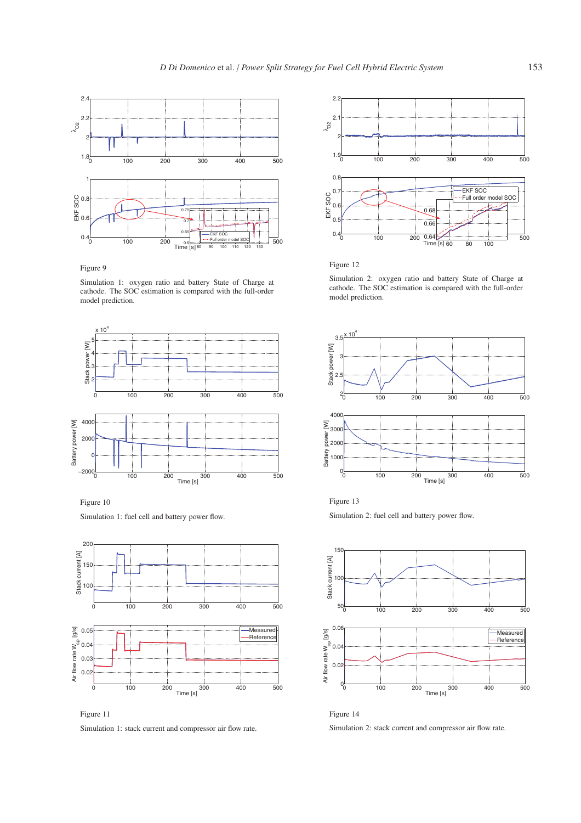

Figure 9

Simulation 1: oxygen ratio and battery State of Charge at cathode. The SOC estimation is compared with the full-order model prediction.



Figure 10

Simulation 1: fuel cell and battery power flow.



Figure 11 Simulation 1: stack current and compressor air flow rate.



Figure 12

Simulation 2: oxygen ratio and battery State of Charge at cathode. The SOC estimation is compared with the full-order model prediction.



Figure 13 Simulation 2: fuel cell and battery power flow.





Simulation 2: stack current and compressor air flow rate.